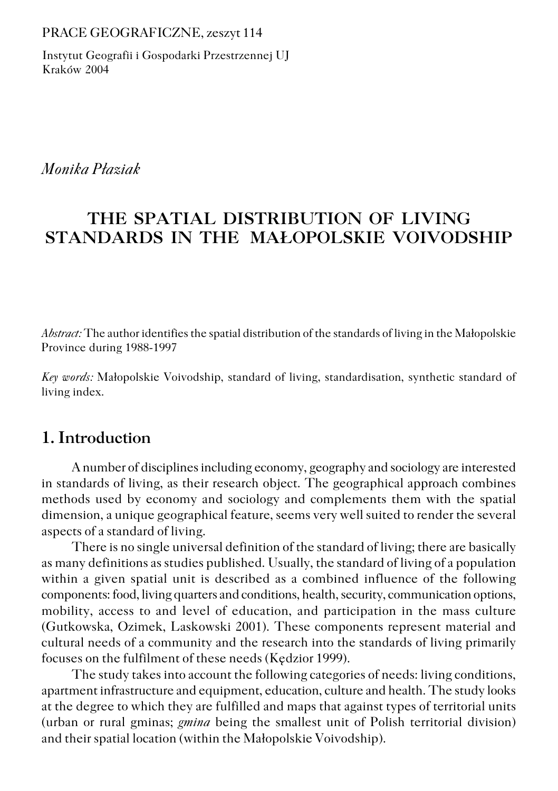PRACE GEOGRAFICZNE, zeszyt 114

Instytut Geografii i Gospodarki Przestrzennej UJ Kraków 2004

*Monika Płaziak*

# **THE SPATIAL DISTRIBUTION OF LIVING STANDARDS IN THE MAŁOPOLSKIE VOIVODSHIP**

*Abstract:* The author identifies the spatial distribution of the standards of living in the Małopolskie Province during 1988−1997

*Key words:* Małopolskie Voivodship, standard of living, standardisation, synthetic standard of living index.

### **1. Introduction**

A number of disciplines including economy, geography and sociology are interested in standards of living, as their research object. The geographical approach combines methods used by economy and sociology and complements them with the spatial dimension, a unique geographical feature, seems very well suited to render the several aspects of a standard of living.

There is no single universal definition of the standard of living; there are basically as many definitions as studies published. Usually, the standard of living of a population within a given spatial unit is described as a combined influence of the following components: food, living quarters and conditions, health, security, communication options, mobility, access to and level of education, and participation in the mass culture (Gutkowska, Ozimek, Laskowski 2001). These components represent material and cultural needs of a community and the research into the standards of living primarily focuses on the fulfilment of these needs (Kędzior 1999).

The study takes into account the following categories of needs: living conditions, apartment infrastructure and equipment, education, culture and health. The study looks at the degree to which they are fulfilled and maps that against types of territorial units (urban or rural gminas; *gmina* being the smallest unit of Polish territorial division) and their spatial location (within the Małopolskie Voivodship).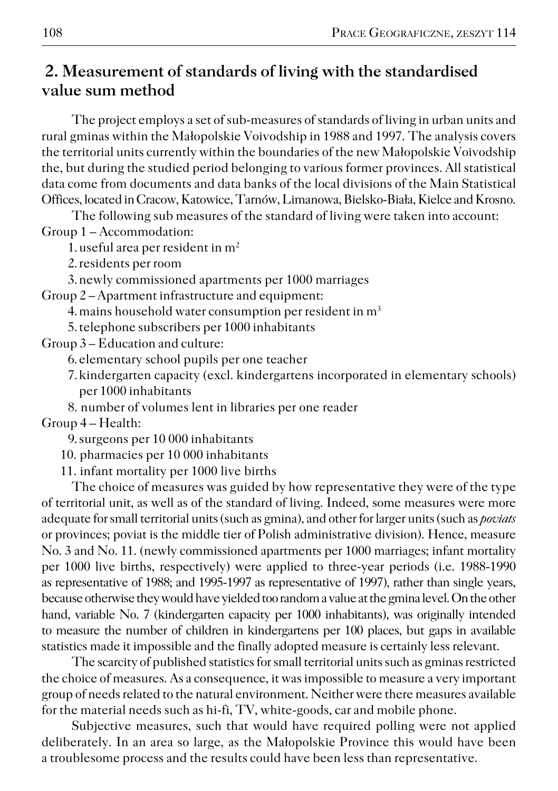### **2. Measurement of standards of living with the standardised value sum method**

The project employs a set of sub−measures of standards of living in urban units and rural gminas within the Małopolskie Voivodship in 1988 and 1997. The analysis covers the territorial units currently within the boundaries of the new Małopolskie Voivodship the, but during the studied period belonging to various former provinces. All statistical data come from documents and data banks of the local divisions of the Main Statistical Offices, located in Cracow, Katowice, Tarnów, Limanowa, Bielsko−Biała, Kielce and Krosno.

The following sub measures of the standard of living were taken into account: Group 1 – Accommodation:

1. useful area per resident in  $m<sup>2</sup>$ 

2.residents per room

3.newly commissioned apartments per 1000 marriages

Group 2 – Apartment infrastructure and equipment:

4. mains household water consumption per resident in m<sup>3</sup>

5.telephone subscribers per 1000 inhabitants

Group 3 – Education and culture:

6.elementary school pupils per one teacher

7.kindergarten capacity (excl. kindergartens incorporated in elementary schools) per 1000 inhabitants

8. number of volumes lent in libraries per one reader Group 4 – Health:

9.surgeons per 10 000 inhabitants

10. pharmacies per 10 000 inhabitants

11. infant mortality per 1000 live births

The choice of measures was guided by how representative they were of the type of territorial unit, as well as of the standard of living. Indeed, some measures were more adequate for small territorial units (such as gmina), and other for larger units (such as *poviats* or provinces; poviat is the middle tier of Polish administrative division). Hence, measure No. 3 and No. 11. (newly commissioned apartments per 1000 marriages; infant mortality per 1000 live births, respectively) were applied to three−year periods (i.e. 1988−1990 as representative of 1988; and 1995−1997 as representative of 1997), rather than single years, because otherwise they would have yielded too random a value at the gmina level. On the other hand, variable No. 7 (kindergarten capacity per 1000 inhabitants), was originally intended to measure the number of children in kindergartens per 100 places, but gaps in available statistics made it impossible and the finally adopted measure is certainly less relevant.

The scarcity of published statistics for small territorial units such as gminas restricted the choice of measures. As a consequence, it was impossible to measure a very important group of needs related to the natural environment. Neither were there measures available for the material needs such as hi−fi, TV, white−goods, car and mobile phone.

Subjective measures, such that would have required polling were not applied deliberately. In an area so large, as the Małopolskie Province this would have been a troublesome process and the results could have been less than representative.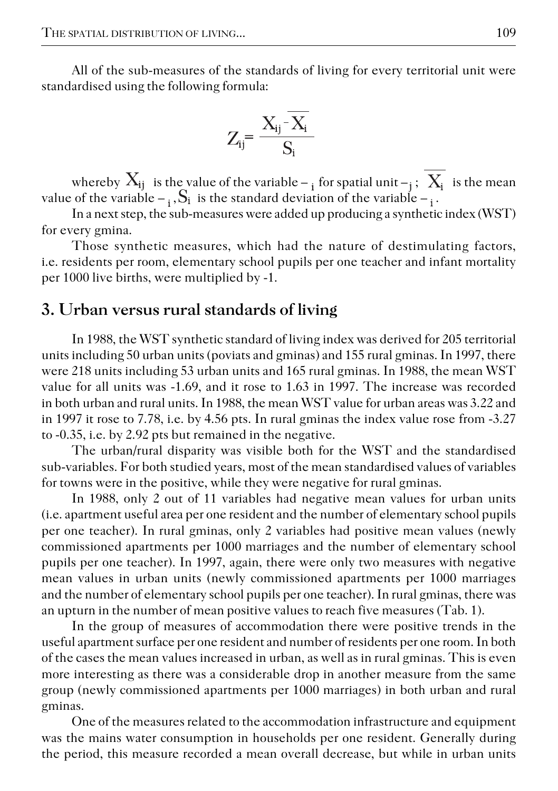All of the sub−measures of the standards of living for every territorial unit were standardised using the following formula:

$$
Z_{ij} = \frac{X_{ij} - \overline{X_i}}{S_i}
$$

whereby  $X_{ij}$  is the value of the variable –  $_i$  for spatial unit –  $_i$ ;  $X_i$  is the mean value of the variable  $-\frac{1}{3}$ . S<sub>i</sub> is the standard deviation of the variable  $-\frac{1}{3}$ .

In a next step, the sub-measures were added up producing a synthetic index (WST) for every gmina.

Those synthetic measures, which had the nature of destimulating factors, i.e. residents per room, elementary school pupils per one teacher and infant mortality per 1000 live births, were multiplied by −1.

#### **3. Urban versus rural standards of living**

In 1988, the WST synthetic standard of living index was derived for 205 territorial units including 50 urban units (poviats and gminas) and 155 rural gminas. In 1997, there were 218 units including 53 urban units and 165 rural gminas. In 1988, the mean WST value for all units was −1.69, and it rose to 1.63 in 1997. The increase was recorded in both urban and rural units. In 1988, the mean WST value for urban areas was 3.22 and in 1997 it rose to 7.78, i.e. by 4.56 pts. In rural gminas the index value rose from −3.27 to −0.35, i.e. by 2.92 pts but remained in the negative.

The urban/rural disparity was visible both for the WST and the standardised sub−variables. For both studied years, most of the mean standardised values of variables for towns were in the positive, while they were negative for rural gminas.

In 1988, only 2 out of 11 variables had negative mean values for urban units (i.e. apartment useful area per one resident and the number of elementary school pupils per one teacher). In rural gminas, only 2 variables had positive mean values (newly commissioned apartments per 1000 marriages and the number of elementary school pupils per one teacher). In 1997, again, there were only two measures with negative mean values in urban units (newly commissioned apartments per 1000 marriages and the number of elementary school pupils per one teacher). In rural gminas, there was an upturn in the number of mean positive values to reach five measures (Tab. 1).

In the group of measures of accommodation there were positive trends in the useful apartment surface per one resident and number of residents per one room. In both of the cases the mean values increased in urban, as well as in rural gminas. This is even more interesting as there was a considerable drop in another measure from the same group (newly commissioned apartments per 1000 marriages) in both urban and rural gminas.

One of the measures related to the accommodation infrastructure and equipment was the mains water consumption in households per one resident. Generally during the period, this measure recorded a mean overall decrease, but while in urban units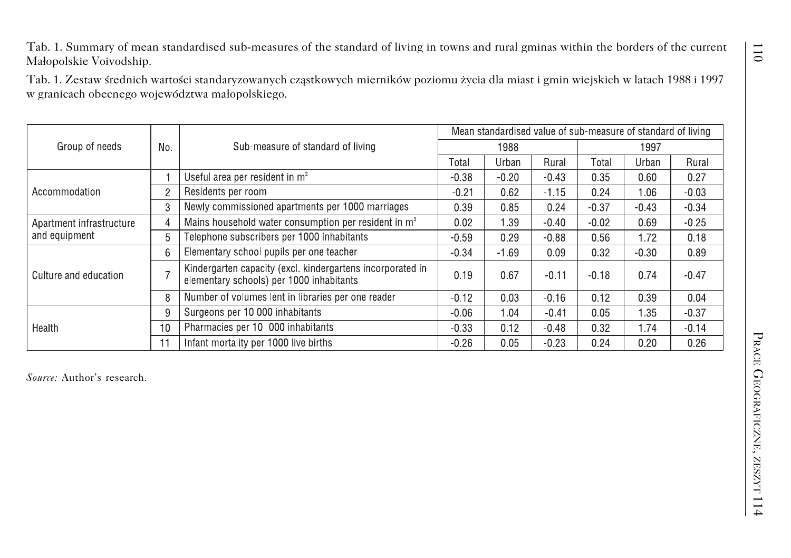| Group of needs                            |                | Sub-measure of standard of living                                                                      | Mean standardised value of sub-measure of standard of living |               |         |         |               |         |
|-------------------------------------------|----------------|--------------------------------------------------------------------------------------------------------|--------------------------------------------------------------|---------------|---------|---------|---------------|---------|
|                                           | No.            |                                                                                                        | Total                                                        | 1988<br>Urban | Rural   | Tota    | 1997<br>Urban | Rural   |
| Accommodation                             |                | Useful area per resident in $m2$                                                                       | $-0.38$                                                      | $-0.20$       | $-0.43$ | 0.35    | 0.60          | 0.27    |
|                                           | $\overline{c}$ | Residents per room                                                                                     | $-0.21$                                                      | 0.62          | $-1.15$ | 0.24    | 1.06          | $-0.03$ |
|                                           | 3              | Newly commissioned apartments per 1000 marriages                                                       | 0.39                                                         | 0.85          | 0.24    | $-0.37$ | $-0.43$       | $-0.34$ |
| Apartment infrastructure<br>and equipment | 4              | Mains household water consumption per resident in $m3$                                                 | 0.02                                                         | 1.39          | $-0.40$ | $-0.02$ | 0.69          | $-0.25$ |
|                                           | 5              | Telephone subscribers per 1000 inhabitants                                                             | $-0.59$                                                      | 0.29          | $-0.88$ | 0.56    | 1.72          | 0.18    |
| Culture and education                     | 6              | Elementary school pupils per one teacher                                                               | $-0.34$                                                      | $-1.69$       | 0.09    | 0.32    | $-0.30$       | 0.89    |
|                                           | $\overline{7}$ | Kindergarten capacity (excl. kindergartens incorporated in<br>elementary schools) per 1000 inhabitants | 0.19                                                         | 0.67          | $-0.11$ | $-0.18$ | 0.74          | $-0.47$ |
|                                           | 8              | Number of volumes lent in libraries per one reader                                                     | $-0.12$                                                      | 0.03          | $-0.16$ | 0.12    | 0.39          | 0.04    |
| Health                                    | 9              | Surgeons per 10 000 inhabitants                                                                        | $-0.06$                                                      | 1.04          | $-0.41$ | 0.05    | 1.35          | $-0.37$ |
|                                           | 10             | Pharmacies per 10 000 inhabitants                                                                      | $-0.33$                                                      | 0.12          | $-0.48$ | 0.32    | 1.74          | $-0.14$ |
|                                           | 11             | Infant mortality per 1000 live births                                                                  | $-0.26$                                                      | 0.05          | $-0.23$ | 0.24    | 0.20          | 0.26    |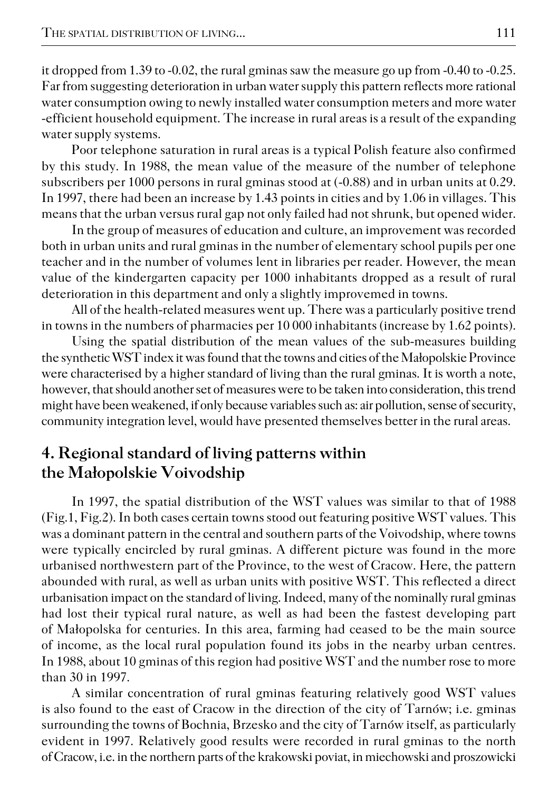it dropped from 1.39 to −0.02, the rural gminas saw the measure go up from −0.40 to −0.25. Far from suggesting deterioration in urban water supply this pattern reflects more rational water consumption owing to newly installed water consumption meters and more water −efficient household equipment. The increase in rural areas is a result of the expanding water supply systems.

Poor telephone saturation in rural areas is a typical Polish feature also confirmed by this study. In 1988, the mean value of the measure of the number of telephone subscribers per 1000 persons in rural gminas stood at (−0.88) and in urban units at 0.29. In 1997, there had been an increase by 1.43 points in cities and by 1.06 in villages. This means that the urban versus rural gap not only failed had not shrunk, but opened wider.

In the group of measures of education and culture, an improvement was recorded both in urban units and rural gminas in the number of elementary school pupils per one teacher and in the number of volumes lent in libraries per reader. However, the mean value of the kindergarten capacity per 1000 inhabitants dropped as a result of rural deterioration in this department and only a slightly improvemed in towns.

All of the health−related measures went up. There was a particularly positive trend in towns in the numbers of pharmacies per 10 000 inhabitants (increase by 1.62 points).

Using the spatial distribution of the mean values of the sub−measures building the synthetic WST index it was found that the towns and cities of the Małopolskie Province were characterised by a higher standard of living than the rural gminas. It is worth a note, however, that should another set of measures were to be taken into consideration, this trend might have been weakened, if only because variables such as: air pollution, sense of security, community integration level, would have presented themselves better in the rural areas.

### **4. Regional standard of living patterns within the Małopolskie Voivodship**

In 1997, the spatial distribution of the WST values was similar to that of 1988 (Fig.1, Fig.2). In both cases certain towns stood out featuring positive WST values. This was a dominant pattern in the central and southern parts of the Voivodship, where towns were typically encircled by rural gminas. A different picture was found in the more urbanised northwestern part of the Province, to the west of Cracow. Here, the pattern abounded with rural, as well as urban units with positive WST. This reflected a direct urbanisation impact on the standard of living. Indeed, many of the nominally rural gminas had lost their typical rural nature, as well as had been the fastest developing part of Małopolska for centuries. In this area, farming had ceased to be the main source of income, as the local rural population found its jobs in the nearby urban centres. In 1988, about 10 gminas of this region had positive WST and the number rose to more than 30 in 1997.

A similar concentration of rural gminas featuring relatively good WST values is also found to the east of Cracow in the direction of the city of Tarnów; i.e. gminas surrounding the towns of Bochnia, Brzesko and the city of Tarnów itself, as particularly evident in 1997. Relatively good results were recorded in rural gminas to the north of Cracow, i.e. in the northern parts of the krakowski poviat, in miechowski and proszowicki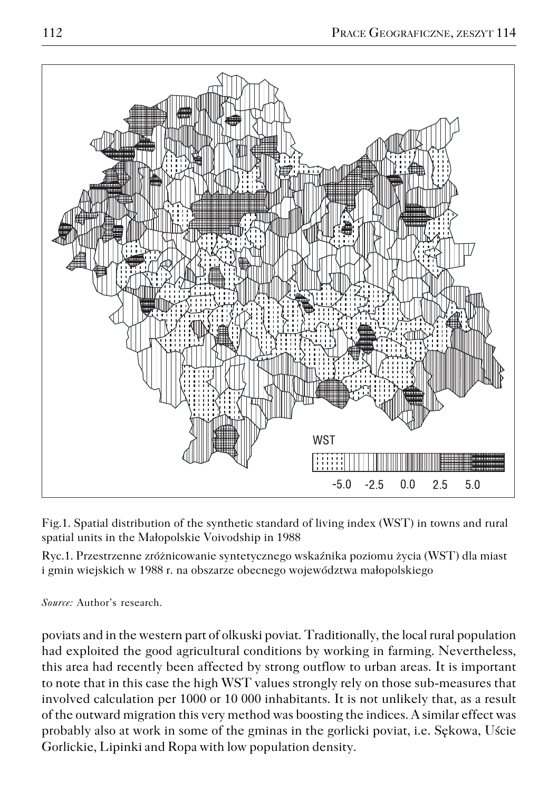

Fig.1. Spatial distribution of the synthetic standard of living index (WST) in towns and rural spatial units in the Małopolskie Voivodship in 1988

Ryc.1. Przestrzenne zróżnicowanie syntetycznego wskaźnika poziomu życia (WST) dla miast i gmin wiejskich w 1988 r. na obszarze obecnego województwa małopolskiego

*Source:* Author's research.

poviats and in the western part of olkuski poviat. Traditionally, the local rural population had exploited the good agricultural conditions by working in farming. Nevertheless, this area had recently been affected by strong outflow to urban areas. It is important to note that in this case the high WST values strongly rely on those sub−measures that involved calculation per 1000 or 10 000 inhabitants. It is not unlikely that, as a result of the outward migration this very method was boosting the indices. A similar effect was probably also at work in some of the gminas in the gorlicki poviat, i.e. Sękowa, Uście Gorlickie, Lipinki and Ropa with low population density.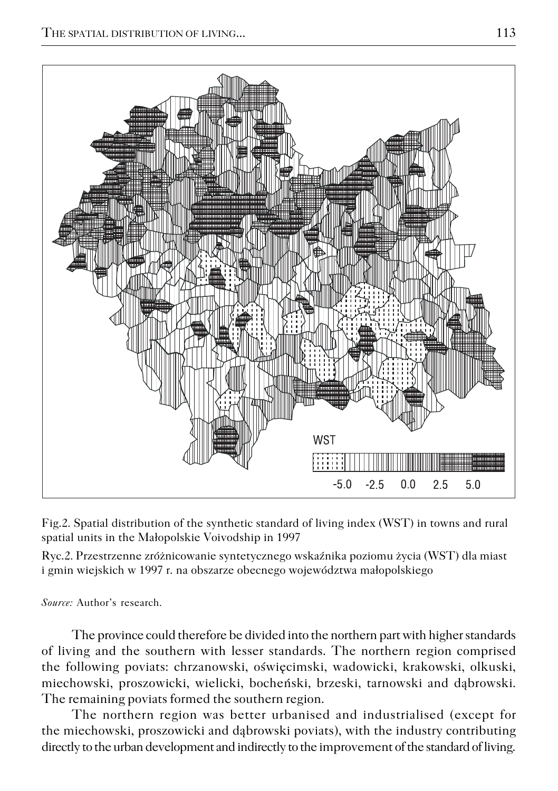

Fig.2. Spatial distribution of the synthetic standard of living index (WST) in towns and rural spatial units in the Małopolskie Voivodship in 1997

Ryc.2. Przestrzenne zróżnicowanie syntetycznego wskaźnika poziomu życia (WST) dla miast i gmin wiejskich w 1997 r. na obszarze obecnego województwa małopolskiego

*Source:* Author's research.

The province could therefore be divided into the northern part with higher standards of living and the southern with lesser standards. The northern region comprised the following poviats: chrzanowski, oświęcimski, wadowicki, krakowski, olkuski, miechowski, proszowicki, wielicki, bocheński, brzeski, tarnowski and dąbrowski. The remaining poviats formed the southern region.

The northern region was better urbanised and industrialised (except for the miechowski, proszowicki and dąbrowski poviats), with the industry contributing directly to the urban development and indirectly to the improvement of the standard of living.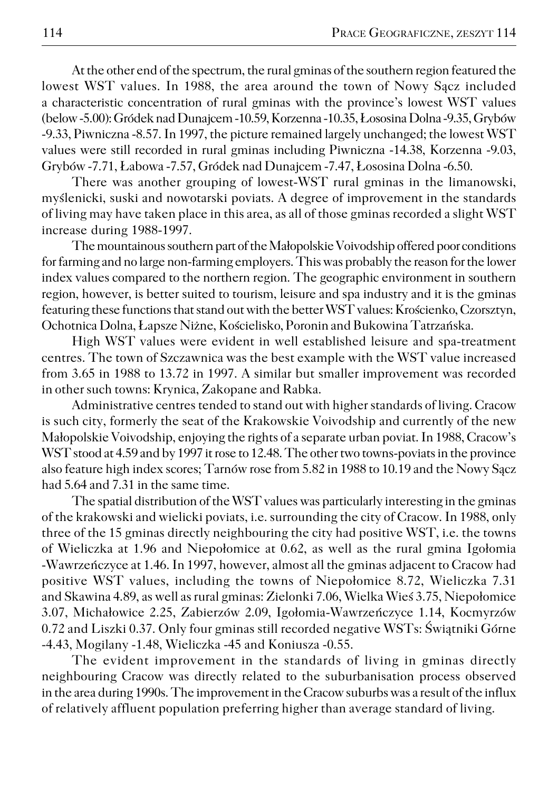At the other end of the spectrum, the rural gminas of the southern region featured the lowest WST values. In 1988, the area around the town of Nowy Sącz included a characteristic concentration of rural gminas with the province's lowest WST values (below −5.00): Gródek nad Dunajcem −10.59, Korzenna −10.35, Łososina Dolna −9.35, Grybów −9.33, Piwniczna −8.57. In 1997, the picture remained largely unchanged; the lowest WST values were still recorded in rural gminas including Piwniczna −14.38, Korzenna −9.03, Grybów −7.71, Łabowa −7.57, Gródek nad Dunajcem −7.47, Łososina Dolna −6.50.

There was another grouping of lowest−WST rural gminas in the limanowski, myślenicki, suski and nowotarski poviats. A degree of improvement in the standards of living may have taken place in this area, as all of those gminas recorded a slight WST increase during 1988−1997.

The mountainous southern part of the Małopolskie Voivodship offered poor conditions for farming and no large non−farming employers. This was probably the reason for the lower index values compared to the northern region. The geographic environment in southern region, however, is better suited to tourism, leisure and spa industry and it is the gminas featuring these functions that stand out with the better WST values: Krościenko, Czorsztyn, Ochotnica Dolna, Łapsze Niżne, Kościelisko, Poronin and Bukowina Tatrzańska.

High WST values were evident in well established leisure and spa−treatment centres. The town of Szczawnica was the best example with the WST value increased from 3.65 in 1988 to 13.72 in 1997. A similar but smaller improvement was recorded in other such towns: Krynica, Zakopane and Rabka.

Administrative centres tended to stand out with higher standards of living. Cracow is such city, formerly the seat of the Krakowskie Voivodship and currently of the new Małopolskie Voivodship, enjoying the rights of a separate urban poviat. In 1988, Cracow's WST stood at 4.59 and by 1997 it rose to 12.48. The other two towns−poviats in the province also feature high index scores; Tarnów rose from 5.82 in 1988 to 10.19 and the Nowy Sącz had 5.64 and 7.31 in the same time.

The spatial distribution of the WST values was particularly interesting in the gminas of the krakowski and wielicki poviats, i.e. surrounding the city of Cracow. In 1988, only three of the 15 gminas directly neighbouring the city had positive WST, i.e. the towns of Wieliczka at 1.96 and Niepołomice at 0.62, as well as the rural gmina Igołomia −Wawrzeńczyce at 1.46. In 1997, however, almost all the gminas adjacent to Cracow had positive WST values, including the towns of Niepołomice 8.72, Wieliczka 7.31 and Skawina 4.89, as well as rural gminas: Zielonki 7.06, Wielka Wieś 3.75, Niepołomice 3.07, Michałowice 2.25, Zabierzów 2.09, Igołomia−Wawrzeńczyce 1.14, Kocmyrzów 0.72 and Liszki 0.37. Only four gminas still recorded negative WSTs: Świątniki Górne −4.43, Mogilany −1.48, Wieliczka −45 and Koniusza −0.55.

The evident improvement in the standards of living in gminas directly neighbouring Cracow was directly related to the suburbanisation process observed in the area during 1990s. The improvement in the Cracow suburbs was a result of the influx of relatively affluent population preferring higher than average standard of living.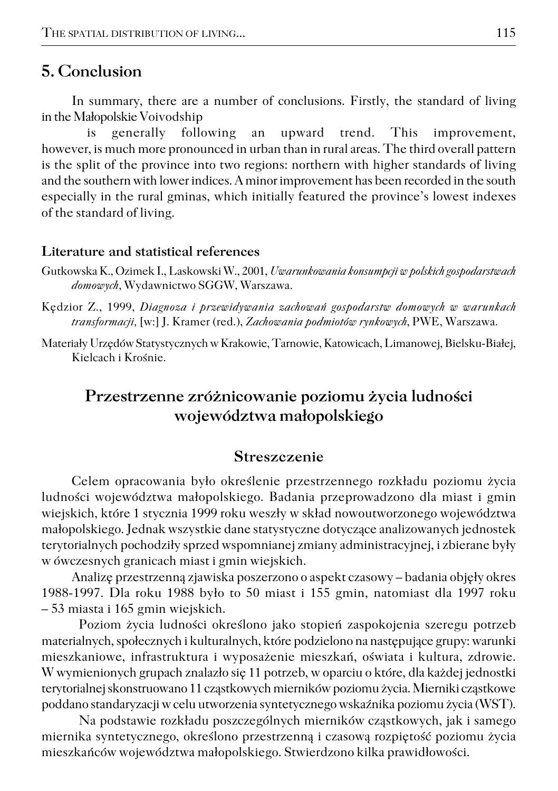### **5. Conclusion**

In summary, there are a number of conclusions. Firstly, the standard of living in the Małopolskie Voivodship

 is generally following an upward trend. This improvement, however, is much more pronounced in urban than in rural areas. The third overall pattern is the split of the province into two regions: northern with higher standards of living and the southern with lower indices. A minor improvement has been recorded in the south especially in the rural gminas, which initially featured the province's lowest indexes of the standard of living.

#### **Literature and statistical references**

- Gutkowska K., Ozimek I., Laskowski W., 2001, *Uwarunkowania konsumpcji w polskich gospodarstwach domowych*, Wydawnictwo SGGW, Warszawa.
- Kędzior Z., 1999, *Diagnoza i przewidywania zachowań gospodarstw domowych w warunkach transformacji,* [w:] J. Kramer (red.), *Zachowania podmiotów rynkowych*, PWE, Warszawa.
- Materiały Urzędów Statystycznych w Krakowie, Tarnowie, Katowicach, Limanowej, Bielsku−Białej, Kielcach i Krośnie.

## **Przestrzenne zróżnicowanie poziomu życia ludności województwa małopolskiego**

#### **Streszczenie**

Celem opracowania było określenie przestrzennego rozkładu poziomu życia ludności województwa małopolskiego. Badania przeprowadzono dla miast i gmin wiejskich, które 1 stycznia 1999 roku weszły w skład nowoutworzonego województwa małopolskiego. Jednak wszystkie dane statystyczne dotyczące analizowanych jednostek terytorialnych pochodziły sprzed wspomnianej zmiany administracyjnej, i zbierane były w ówczesnych granicach miast i gmin wiejskich.

Analizę przestrzenną zjawiska poszerzono o aspekt czasowy – badania objęły okres 1988−1997. Dla roku 1988 było to 50 miast i 155 gmin, natomiast dla 1997 roku – 53 miasta i 165 gmin wiejskich.

Poziom życia ludności określono jako stopień zaspokojenia szeregu potrzeb materialnych, społecznych i kulturalnych, które podzielono na następujące grupy: warunki mieszkaniowe, infrastruktura i wyposażenie mieszkań, oświata i kultura, zdrowie. W wymienionych grupach znalazło się 11 potrzeb, w oparciu o które, dla każdej jednostki terytorialnej skonstruowano 11 cząstkowych mierników poziomu życia. Mierniki cząstkowe poddano standaryzacji w celu utworzenia syntetycznego wskaźnika poziomu życia (WST).

Na podstawie rozkładu poszczególnych mierników cząstkowych, jak i samego miernika syntetycznego, określono przestrzenną i czasową rozpiętość poziomu życia mieszkańców województwa małopolskiego. Stwierdzono kilka prawidłowości.